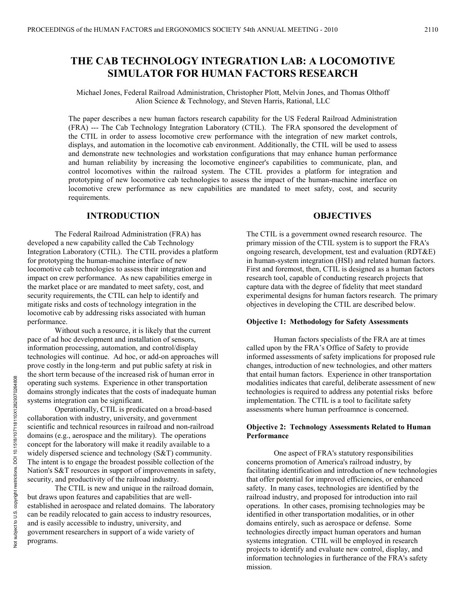# **THE CAB TECHNOLOGY INTEGRATION LAB: A LOCOMOTIVE SIMULATOR FOR HUMAN FACTORS RESEARCH**

Michael Jones, Federal Railroad Administration, Christopher Plott, Melvin Jones, and Thomas Olthoff Alion Science & Technology, and Steven Harris, Rational, LLC

The paper describes a new human factors research capability for the US Federal Railroad Administration (FRA) --- The Cab Technology Integration Laboratory (CTIL). The FRA sponsored the development of the CTIL in order to assess locomotive crew performance with the integration of new market controls, displays, and automation in the locomotive cab environment. Additionally, the CTIL will be used to assess and demonstrate new technologies and workstation configurations that may enhance human performance and human reliability by increasing the locomotive engineer's capabilities to communicate, plan, and control locomotives within the railroad system. The CTIL provides a platform for integration and prototyping of new locomotive cab technologies to assess the impact of the human-machine interface on locomotive crew performance as new capabilities are mandated to meet safety, cost, and security requirements.

# **INTRODUCTION**

The Federal Railroad Administration (FRA) has developed a new capability called the Cab Technology Integration Laboratory (CTIL). The CTIL provides a platform for prototyping the human-machine interface of new locomotive cab technologies to assess their integration and impact on crew performance. As new capabilities emerge in the market place or are mandated to meet safety, cost, and security requirements, the CTIL can help to identify and mitigate risks and costs of technology integration in the locomotive cab by addressing risks associated with human performance.

Without such a resource, it is likely that the current pace of ad hoc development and installation of sensors, information processing, automation, and control/display technologies will continue. Ad hoc, or add-on approaches will prove costly in the long-term and put public safety at risk in the short term because of the increased risk of human error in operating such systems. Experience in other transportation domains strongly indicates that the costs of inadequate human systems integration can be significant.

Operationally, CTIL is predicated on a broad-based collaboration with industry, university, and government scientific and technical resources in railroad and non-railroad domains (e.g., aerospace and the military). The operations concept for the laboratory will make it readily available to a widely dispersed science and technology (S&T) community. The intent is to engage the broadest possible collection of the Nation's S&T resources in support of improvements in safety, security, and productivity of the railroad industry.

The CTIL is new and unique in the railroad domain, but draws upon features and capabilities that are wellestablished in aerospace and related domains. The laboratory can be readily relocated to gain access to industry resources, and is easily accessible to industry, university, and government researchers in support of a wide variety of programs.

### **OBJECTIVES**

The CTIL is a government owned research resource. The primary mission of the CTIL system is to support the FRA's ongoing research, development, test and evaluation (RDT&E) in human-system integration (HSI) and related human factors. First and foremost, then, CTIL is designed as a human factors research tool, capable of conducting research projects that capture data with the degree of fidelity that meet standard experimental designs for human factors research. The primary objectives in developing the CTIL are described below.

### **Objective 1: Methodology for Safety Assessments**

Human factors specialists of the FRA are at times called upon by the FRA's Office of Safety to provide informed assessments of safety implications for proposed rule changes, introduction of new technologies, and other matters that entail human factors. Experience in other transportation modalities indicates that careful, deliberate assessment of new technologies is required to address any potential risks before implementation. The CTIL is a tool to facilitate safety assessments where human perfroamnce is concerned.

# **Objective 2: Technology Assessments Related to Human Performance**

One aspect of FRA's statutory responsibilities concerns promotion of America's railroad industry, by facilitating identification and introduction of new technologies that offer potential for improved efficiencies, or enhanced safety. In many cases, technologies are identified by the railroad industry, and proposed for introduction into rail operations. In other cases, promising technologies may be identified in other transportation modalities, or in other domains entirely, such as aerospace or defense. Some technologies directly impact human operators and human systems integration. CTIL will be employed in research projects to identify and evaluate new control, display, and information technologies in furtherance of the FRA's safety mission.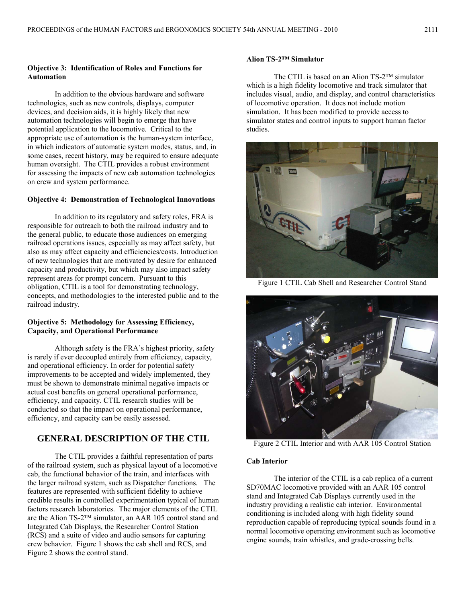#### **Objective 3: Identification of Roles and Functions for Automation**

In addition to the obvious hardware and software technologies, such as new controls, displays, computer devices, and decision aids, it is highly likely that new automation technologies will begin to emerge that have potential application to the locomotive. Critical to the appropriate use of automation is the human-system interface, in which indicators of automatic system modes, status, and, in some cases, recent history, may be required to ensure adequate human oversight. The CTIL provides a robust environment for assessing the impacts of new cab automation technologies on crew and system performance.

#### **Objective 4: Demonstration of Technological Innovations**

In addition to its regulatory and safety roles, FRA is responsible for outreach to both the railroad industry and to the general public, to educate those audiences on emerging railroad operations issues, especially as may affect safety, but also as may affect capacity and efficiencies/costs. Introduction of new technologies that are motivated by desire for enhanced capacity and productivity, but which may also impact safety represent areas for prompt concern. Pursuant to this obligation, CTIL is a tool for demonstrating technology, concepts, and methodologies to the interested public and to the railroad industry.

# **Objective 5: Methodology for Assessing Efficiency, Capacity, and Operational Performance**

Although safety is the FRA's highest priority, safety is rarely if ever decoupled entirely from efficiency, capacity, and operational efficiency. In order for potential safety improvements to be accepted and widely implemented, they must be shown to demonstrate minimal negative impacts or actual cost benefits on general operational performance, efficiency, and capacity. CTIL research studies will be conducted so that the impact on operational performance, efficiency, and capacity can be easily assessed.

# **GENERAL DESCRIPTION OF THE CTIL**

The CTIL provides a faithful representation of parts of the railroad system, such as physical layout of a locomotive cab, the functional behavior of the train, and interfaces with the larger railroad system, such as Dispatcher functions. The features are represented with sufficient fidelity to achieve credible results in controlled experimentation typical of human factors research laboratories. The major elements of the CTIL are the Alion TS-2™ simulator, an AAR 105 control stand and Integrated Cab Displays, the Researcher Control Station (RCS) and a suite of video and audio sensors for capturing crew behavior. Figure 1 shows the cab shell and RCS, and Figure 2 shows the control stand.

# **Alion TS-2™ Simulator**

The CTIL is based on an Alion TS-2™ simulator which is a high fidelity locomotive and track simulator that includes visual, audio, and display, and control characteristics of locomotive operation. It does not include motion simulation. It has been modified to provide access to simulator states and control inputs to support human factor studies.



Figure 1 CTIL Cab Shell and Researcher Control Stand



Figure 2 CTIL Interior and with AAR 105 Control Station

#### **Cab Interior**

The interior of the CTIL is a cab replica of a current SD70MAC locomotive provided with an AAR 105 control stand and Integrated Cab Displays currently used in the industry providing a realistic cab interior. Environmental conditioning is included along with high fidelity sound reproduction capable of reproducing typical sounds found in a normal locomotive operating environment such as locomotive engine sounds, train whistles, and grade-crossing bells.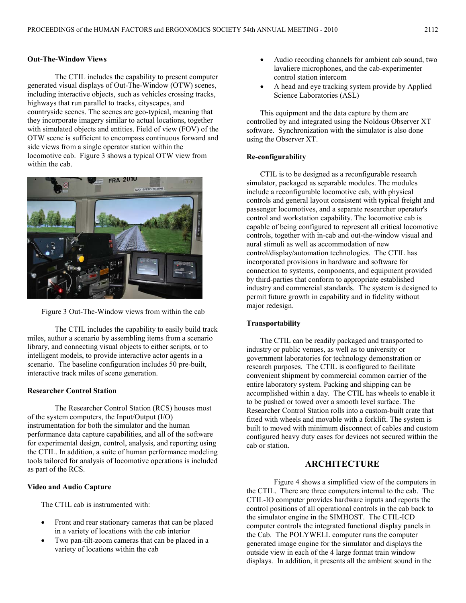### **Out-The-Window Views**

The CTIL includes the capability to present computer generated visual displays of Out-The-Window (OTW) scenes, including interactive objects, such as vehicles crossing tracks, highways that run parallel to tracks, cityscapes, and countryside scenes. The scenes are geo-typical, meaning that they incorporate imagery similar to actual locations, together with simulated objects and entities. Field of view (FOV) of the OTW scene is sufficient to encompass continuous forward and side views from a single operator station within the locomotive cab. Figure 3 shows a typical OTW view from within the cab.





The CTIL includes the capability to easily build track miles, author a scenario by assembling items from a scenario library, and connecting visual objects to either scripts, or to intelligent models, to provide interactive actor agents in a scenario. The baseline configuration includes 50 pre-built, interactive track miles of scene generation.

## **Researcher Control Station**

The Researcher Control Station (RCS) houses most of the system computers, the Input/Output (I/O) instrumentation for both the simulator and the human performance data capture capabilities, and all of the software for experimental design, control, analysis, and reporting using the CTIL. In addition, a suite of human performance modeling tools tailored for analysis of locomotive operations is included as part of the RCS.

### **Video and Audio Capture**

The CTIL cab is instrumented with:

- Front and rear stationary cameras that can be placed in a variety of locations with the cab interior
- Two pan-tilt-zoom cameras that can be placed in a variety of locations within the cab
- Audio recording channels for ambient cab sound, two lavaliere microphones, and the cab-experimenter control station intercom
- A head and eye tracking system provide by Applied Science Laboratories (ASL)

This equipment and the data capture by them are controlled by and integrated using the Noldous Observer XT software. Synchronization with the simulator is also done using the Observer XT.

#### **Re-configurability**

CTIL is to be designed as a reconfigurable research simulator, packaged as separable modules. The modules include a reconfigurable locomotive cab, with physical controls and general layout consistent with typical freight and passenger locomotives, and a separate researcher operator's control and workstation capability. The locomotive cab is capable of being configured to represent all critical locomotive controls, together with in-cab and out-the-window visual and aural stimuli as well as accommodation of new control/display/automation technologies. The CTIL has incorporated provisions in hardware and software for connection to systems, components, and equipment provided by third-parties that conform to appropriate established industry and commercial standards. The system is designed to permit future growth in capability and in fidelity without major redesign.

#### **Transportability**

The CTIL can be readily packaged and transported to industry or public venues, as well as to university or government laboratories for technology demonstration or research purposes. The CTIL is configured to facilitate convenient shipment by commercial common carrier of the entire laboratory system. Packing and shipping can be accomplished within a day. The CTIL has wheels to enable it to be pushed or towed over a smooth level surface. The Researcher Control Station rolls into a custom-built crate that fitted with wheels and movable with a forklift. The system is built to moved with minimum disconnect of cables and custom configured heavy duty cases for devices not secured within the cab or station.

# **ARCHITECTURE**

Figure 4 shows a simplified view of the computers in the CTIL. There are three computers internal to the cab. The CTIL-IO computer provides hardware inputs and reports the control positions of all operational controls in the cab back to the simulator engine in the SIMHOST. The CTIL-ICD computer controls the integrated functional display panels in the Cab. The POLYWELL computer runs the computer generated image engine for the simulator and displays the outside view in each of the 4 large format train window displays. In addition, it presents all the ambient sound in the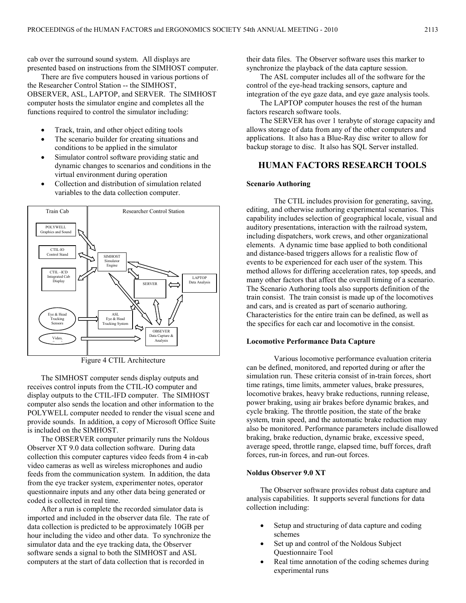cab over the surround sound system. All displays are presented based on instructions from the SIMHOST computer.

There are five computers housed in various portions of the Researcher Control Station -- the SIMHOST, OBSERVER, ASL, LAPTOP, and SERVER. The SIMHOST computer hosts the simulator engine and completes all the functions required to control the simulator including:

- Track, train, and other object editing tools
- The scenario builder for creating situations and conditions to be applied in the simulator
- Simulator control software providing static and dynamic changes to scenarios and conditions in the virtual environment during operation
- Collection and distribution of simulation related variables to the data collection computer.



Figure 4 CTIL Architecture

The SIMHOST computer sends display outputs and receives control inputs from the CTIL-IO computer and display outputs to the CTIL-IFD computer. The SIMHOST computer also sends the location and other information to the POLYWELL computer needed to render the visual scene and provide sounds. In addition, a copy of Microsoft Office Suite is included on the SIMHOST.

The OBSERVER computer primarily runs the Noldous Observer XT 9.0 data collection software. During data collection this computer captures video feeds from 4 in-cab video cameras as well as wireless microphones and audio feeds from the communication system. In addition, the data from the eye tracker system, experimenter notes, operator questionnaire inputs and any other data being generated or coded is collected in real time.

After a run is complete the recorded simulator data is imported and included in the observer data file. The rate of data collection is predicted to be approximately 10GB per hour including the video and other data. To synchronize the simulator data and the eye tracking data, the Observer software sends a signal to both the SIMHOST and ASL computers at the start of data collection that is recorded in

their data files. The Observer software uses this marker to synchronize the playback of the data capture session.

The ASL computer includes all of the software for the control of the eye-head tracking sensors, capture and integration of the eye gaze data, and eye gaze analysis tools.

The LAPTOP computer houses the rest of the human factors research software tools.

The SERVER has over 1 terabyte of storage capacity and allows storage of data from any of the other computers and applications. It also has a Blue-Ray disc writer to allow for backup storage to disc. It also has SQL Server installed.

# **HUMAN FACTORS RESEARCH TOOLS**

#### **Scenario Authoring**

The CTIL includes provision for generating, saving, editing, and otherwise authoring experimental scenarios. This capability includes selection of geographical locale, visual and auditory presentations, interaction with the railroad system, including dispatchers, work crews, and other organizational elements. A dynamic time base applied to both conditional and distance-based triggers allows for a realistic flow of events to be experienced for each user of the system. This method allows for differing acceleration rates, top speeds, and many other factors that affect the overall timing of a scenario. The Scenario Authoring tools also supports definition of the train consist. The train consist is made up of the locomotives and cars, and is created as part of scenario authoring. Characteristics for the entire train can be defined, as well as the specifics for each car and locomotive in the consist.

#### **Locomotive Performance Data Capture**

Various locomotive performance evaluation criteria can be defined, monitored, and reported during or after the simulation run. These criteria consist of in-train forces, short time ratings, time limits, ammeter values, brake pressures, locomotive brakes, heavy brake reductions, running release, power braking, using air brakes before dynamic brakes, and cycle braking. The throttle position, the state of the brake system, train speed, and the automatic brake reduction may also be monitored. Performance parameters include disallowed braking, brake reduction, dynamic brake, excessive speed, average speed, throttle range, elapsed time, buff forces, draft forces, run-in forces, and run-out forces.

#### **Noldus Observer 9.0 XT**

The Observer software provides robust data capture and analysis capabilities. It supports several functions for data collection including:

- Setup and structuring of data capture and coding schemes
- Set up and control of the Noldous Subject Questionnaire Tool
- Real time annotation of the coding schemes during experimental runs